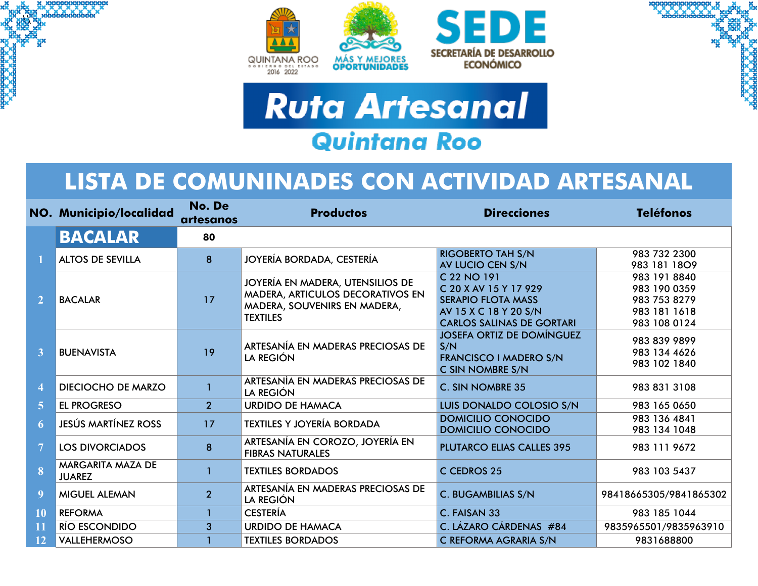

 $\mathbf{r}$ 





## **LISTA DE COMUNINADES CON ACTIVIDAD ARTESANAL**

|                | NO. Municipio/localidad            | No. De<br>artesanos | <b>Productos</b>                                                                                                        | <b>Direcciones</b>                                                                                                             | <b>Teléfonos</b>                                                             |
|----------------|------------------------------------|---------------------|-------------------------------------------------------------------------------------------------------------------------|--------------------------------------------------------------------------------------------------------------------------------|------------------------------------------------------------------------------|
|                | <b>BACALAR</b>                     | 80                  |                                                                                                                         |                                                                                                                                |                                                                              |
|                | <b>ALTOS DE SEVILLA</b>            | $\mathbf{8}$        | JOYERÍA BORDADA, CESTERÍA                                                                                               | <b>RIGOBERTO TAH S/N</b><br>AV LUCIO CEN S/N                                                                                   | 983 732 2300<br>983 181 1809                                                 |
| 2 <sup>1</sup> | <b>BACALAR</b>                     | 17                  | JOYERÍA EN MADERA, UTENSILIOS DE<br>MADERA, ARTICULOS DECORATIVOS EN<br>MADERA, SOUVENIRS EN MADERA,<br><b>TEXTILES</b> | C 22 NO 191<br>C 20 X AV 15 Y 17 929<br><b>SERAPIO FLOTA MASS</b><br>AV 15 X C 18 Y 20 S/N<br><b>CARLOS SALINAS DE GORTARI</b> | 983 191 8840<br>983 190 0359<br>983 753 8279<br>983 181 1618<br>983 108 0124 |
| 3              | <b>BUENAVISTA</b>                  | 19                  | ARTESANÍA EN MADERAS PRECIOSAS DE<br><b>LA REGIÓN</b>                                                                   | <b>JOSEFA ORTIZ DE DOMÍNGUEZ</b><br>S/N<br><b>FRANCISCO I MADERO S/N</b><br>C SIN NOMBRE S/N                                   | 983 839 9899<br>983 134 4626<br>983 102 1840                                 |
| 4              | <b>DIECIOCHO DE MARZO</b>          |                     | ARTESANÍA EN MADERAS PRECIOSAS DE<br><b>LA REGIÓN</b>                                                                   | C. SIN NOMBRE 35                                                                                                               | 983 831 3108                                                                 |
| 5 <sup>1</sup> | <b>EL PROGRESO</b>                 | 2 <sup>1</sup>      | <b>URDIDO DE HAMACA</b>                                                                                                 | LUIS DONALDO COLOSIO S/N                                                                                                       | 983 165 0650                                                                 |
| 6              | <b>JESÚS MARTÍNEZ ROSS</b>         | 17                  | <b>TEXTILES Y JOYERÍA BORDADA</b>                                                                                       | <b>DOMICILIO CONOCIDO</b><br><b>DOMICILIO CONOCIDO</b>                                                                         | 983 136 4841<br>983 134 1048                                                 |
| $\overline{7}$ | <b>LOS DIVORCIADOS</b>             | 8                   | ARTESANÍA EN COROZO, JOYERÍA EN<br><b>FIBRAS NATURALES</b>                                                              | <b>PLUTARCO ELIAS CALLES 395</b>                                                                                               | 983 111 9672                                                                 |
| 8              | MARGARITA MAZA DE<br><b>JUAREZ</b> |                     | <b>TEXTILES BORDADOS</b>                                                                                                | C CEDROS 25                                                                                                                    | 983 103 5437                                                                 |
| 9              | <b>MIGUEL ALEMAN</b>               | $\overline{2}$      | ARTESANÍA EN MADERAS PRECIOSAS DE<br><b>LA REGIÓN</b>                                                                   | C. BUGAMBILIAS S/N                                                                                                             | 98418665305/9841865302                                                       |
| 10             | <b>REFORMA</b>                     |                     | <b>CESTERÍA</b>                                                                                                         | C. FAISAN 33                                                                                                                   | 983 185 1044                                                                 |
| 11             | <b>RÍO ESCONDIDO</b>               | 3                   | <b>URDIDO DE HAMACA</b>                                                                                                 | C. LÁZARO CÁRDENAS #84                                                                                                         | 9835965501/9835963910                                                        |
| 12             | VALLEHERMOSO                       |                     | <b>TEXTILES BORDADOS</b>                                                                                                | C REFORMA AGRARIA S/N                                                                                                          | 9831688800                                                                   |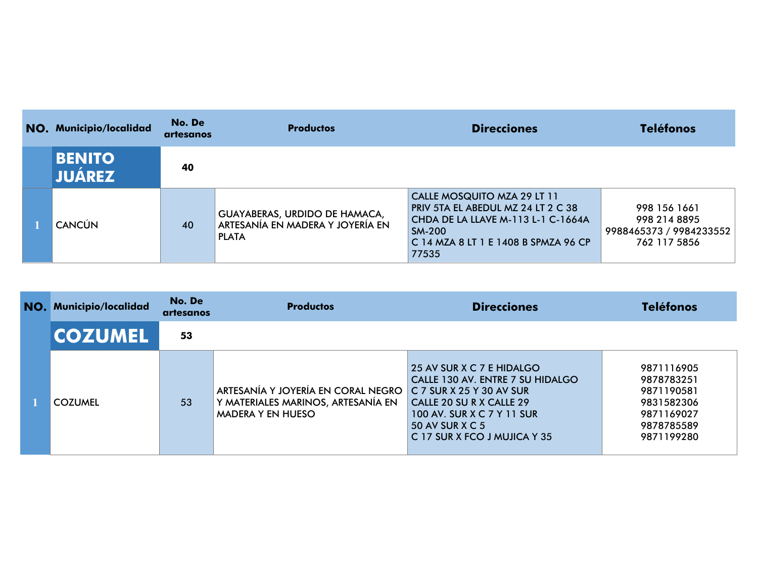| NO. Municipio/localidad        | No. De<br>artesanos | <b>Productos</b>                                                                         | <b>Direcciones</b>                                                                                                                                                        | <b>Teléfonos</b>                                                        |
|--------------------------------|---------------------|------------------------------------------------------------------------------------------|---------------------------------------------------------------------------------------------------------------------------------------------------------------------------|-------------------------------------------------------------------------|
| <b>BENITO</b><br><b>JUAREZ</b> | 40                  |                                                                                          |                                                                                                                                                                           |                                                                         |
| <b>CANCÚN</b>                  | 40                  | <b>GUAYABERAS, URDIDO DE HAMACA,</b><br>ARTESANÍA EN MADERA Y JOYERÍA EN<br><b>PLATA</b> | CALLE MOSQUITO MZA 29 LT 11<br>PRIV 5TA EL ABEDUL MZ 24 LT 2 C 38<br>CHDA DE LA LLAVE M-113 L-1 C-1664A<br><b>SM-200</b><br>C 14 MZA 8 LT 1 E 1408 B SPMZA 96 CP<br>77535 | 998 156 1661<br>998 214 8895<br>9988465373 / 9984233552<br>762 117 5856 |

| NO. | <b>Municipio/localidad</b> | No. De<br>artesanos | <b>Productos</b>                                                                                     | <b>Direcciones</b>                                                                                                                                                                                       | <b>Teléfonos</b>                                                                               |
|-----|----------------------------|---------------------|------------------------------------------------------------------------------------------------------|----------------------------------------------------------------------------------------------------------------------------------------------------------------------------------------------------------|------------------------------------------------------------------------------------------------|
|     | <b>COZUMEL</b>             | 53                  |                                                                                                      |                                                                                                                                                                                                          |                                                                                                |
|     | <b>COZUMEL</b>             | 53                  | ARTESANÍA Y JOYERÍA EN CORAL NEGRO<br>Y MATERIALES MARINOS, ARTESANÍA EN<br><b>MADERA Y EN HUESO</b> | 25 AV SUR X C 7 E HIDALGO<br>CALLE 130 AV. ENTRE 7 SU HIDALGO<br>$C$ 7 SUR X 25 Y 30 AV SUR<br>CALLE 20 SU R X CALLE 29<br>100 AV. SUR X C 7 Y 11 SUR<br>50 AV SUR X C 5<br>C 17 SUR X FCO J MUJICA Y 35 | 9871116905<br>9878783251<br>9871190581<br>9831582306<br>9871169027<br>9878785589<br>9871199280 |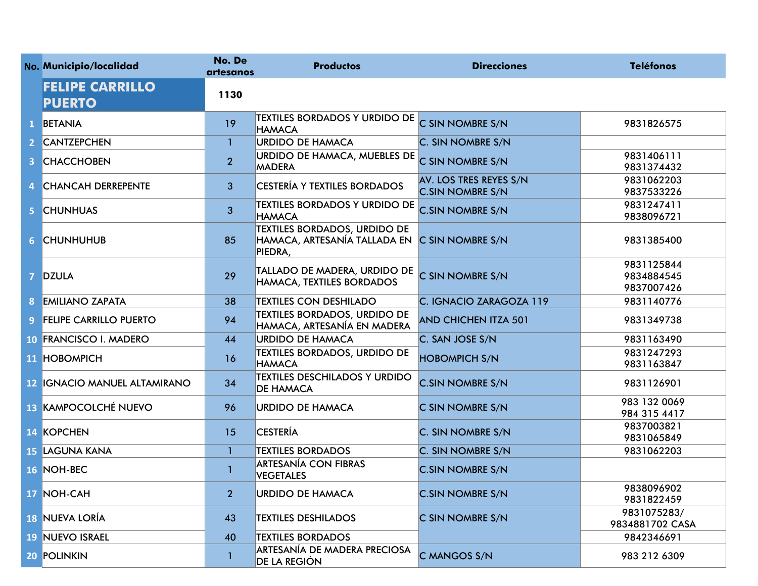|                | No. Municipio/localidad                 | No. De<br>artesanos | <b>Productos</b>                                                               | <b>Direcciones</b>                                | <b>Teléfonos</b>                       |
|----------------|-----------------------------------------|---------------------|--------------------------------------------------------------------------------|---------------------------------------------------|----------------------------------------|
|                | <b>FELIPE CARRILLO</b><br><b>PUERTO</b> | 1130                |                                                                                |                                                   |                                        |
| $\mathbf{1}$   | <b>BETANIA</b>                          | 19                  | <b>TEXTILES BORDADOS Y URDIDO DE</b><br><b>HAMACA</b>                          | C SIN NOMBRE S/N                                  | 9831826575                             |
| $\mathbf{2}$   | <b>CANTZEPCHEN</b>                      | $\mathbf{1}$        | <b>URDIDO DE HAMACA</b>                                                        | C. SIN NOMBRE S/N                                 |                                        |
| 3              | <b>CHACCHOBEN</b>                       | $\overline{2}$      | URDIDO DE HAMACA, MUEBLES DE<br><b>MADERA</b>                                  | C SIN NOMBRE S/N                                  | 9831406111<br>9831374432               |
| 4              | <b>CHANCAH DERREPENTE</b>               | 3                   | <b>CESTERÍA Y TEXTILES BORDADOS</b>                                            | AV. LOS TRES REYES S/N<br><b>C.SIN NOMBRE S/N</b> | 9831062203<br>9837533226               |
| 5.             | <b>CHUNHUAS</b>                         | 3                   | <b>TEXTILES BORDADOS Y URDIDO DE</b><br><b>HAMACA</b>                          | <b>C.SIN NOMBRE S/N</b>                           | 9831247411<br>9838096721               |
| 6 <sup>1</sup> | <b>CHUNHUHUB</b>                        | 85                  | <b>TEXTILES BORDADOS, URDIDO DE</b><br>HAMACA, ARTESANÍA TALLADA EN<br>PIEDRA, | C SIN NOMBRE S/N                                  | 9831385400                             |
| $\overline{7}$ | <b>DZULA</b>                            | 29                  | TALLADO DE MADERA, URDIDO DE<br>HAMACA, TEXTILES BORDADOS                      | C SIN NOMBRE S/N                                  | 9831125844<br>9834884545<br>9837007426 |
| 8              | <b>EMILIANO ZAPATA</b>                  | 38                  | <b>TEXTILES CON DESHILADO</b>                                                  | C. IGNACIO ZARAGOZA 119                           | 9831140776                             |
| 9 <sup>°</sup> | <b>FELIPE CARRILLO PUERTO</b>           | 94                  | <b>TEXTILES BORDADOS, URDIDO DE</b><br> HAMACA, ARTESANÍA EN MADERA            | <b>AND CHICHEN ITZA 501</b>                       | 9831349738                             |
| $10-1$         | <b>FRANCISCO I. MADERO</b>              | 44                  | <b>URDIDO DE HAMACA</b>                                                        | C. SAN JOSE S/N                                   | 9831163490                             |
|                | 11 HOBOMPICH                            | 16                  | <b>TEXTILES BORDADOS, URDIDO DE</b><br><b>HAMACA</b>                           | <b>HOBOMPICH S/N</b>                              | 9831247293<br>9831163847               |
|                | <b>12 IGNACIO MANUEL ALTAMIRANO</b>     | 34                  | <b>TEXTILES DESCHILADOS Y URDIDO</b><br><b>DE HAMACA</b>                       | <b>C.SIN NOMBRE S/N</b>                           | 9831126901                             |
|                | 13 KAMPOCOLCHÉ NUEVO                    | 96                  | <b>URDIDO DE HAMACA</b>                                                        | C SIN NOMBRE S/N                                  | 983 132 0069<br>984 315 4417           |
|                | 14 KOPCHEN                              | 15                  | <b>CESTERÍA</b>                                                                | C. SIN NOMBRE S/N                                 | 9837003821<br>9831065849               |
|                | <b>15 LAGUNA KANA</b>                   | 1                   | <b>TEXTILES BORDADOS</b>                                                       | C. SIN NOMBRE S/N                                 | 9831062203                             |
|                | 16 NOH-BEC                              | 1                   | <b>ARTESANÍA CON FIBRAS</b><br><b>VEGETALES</b>                                | <b>C.SIN NOMBRE S/N</b>                           |                                        |
|                | 17 NOH-CAH                              | 2 <sup>1</sup>      | <b>URDIDO DE HAMACA</b>                                                        | <b>C.SIN NOMBRE S/N</b>                           | 9838096902<br>9831822459               |
|                | <b>18 NUEVA LORÍA</b>                   | 43                  | <b>TEXTILES DESHILADOS</b>                                                     | C SIN NOMBRE S/N                                  | 9831075283/<br>9834881702 CASA         |
|                | 19 NUEVO ISRAEL                         | 40                  | <b>TEXTILES BORDADOS</b>                                                       |                                                   | 9842346691                             |
|                | 20 POLINKIN                             | 1                   | <b>ARTESANÍA DE MADERA PRECIOSA</b><br><b>DE LA REGIÓN</b>                     | C MANGOS S/N                                      | 983 212 6309                           |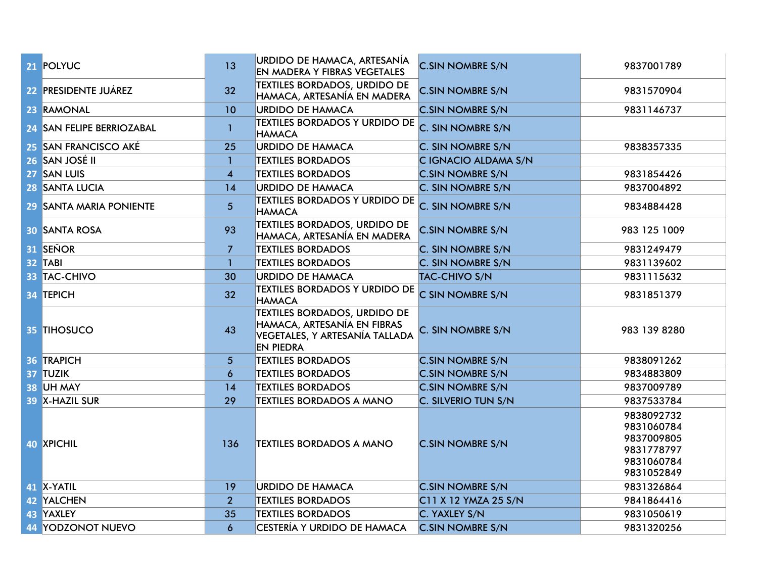| 21 POLYUC                 | 13               | URDIDO DE HAMACA, ARTESANÍA<br><b>EN MADERA Y FIBRAS VEGETALES</b>                                                       | <b>C.SIN NOMBRE S/N</b> | 9837001789                                                                       |
|---------------------------|------------------|--------------------------------------------------------------------------------------------------------------------------|-------------------------|----------------------------------------------------------------------------------|
| 22 PRESIDENTE JUÁREZ      | 32               | <b>TEXTILES BORDADOS, URDIDO DE</b><br>HAMACA, ARTESANÍA EN MADERA                                                       | <b>C.SIN NOMBRE S/N</b> | 9831570904                                                                       |
| 23 RAMONAL                | 10               | <b>URDIDO DE HAMACA</b>                                                                                                  | <b>C.SIN NOMBRE S/N</b> | 9831146737                                                                       |
| 24 SAN FELIPE BERRIOZABAL | $\mathbf{1}$     | <b>TEXTILES BORDADOS Y URDIDO DE</b><br><b>HAMACA</b>                                                                    | C. SIN NOMBRE S/N       |                                                                                  |
| 25 SAN FRANCISCO AKÉ      | 25               | <b>URDIDO DE HAMACA</b>                                                                                                  | C. SIN NOMBRE S/N       | 9838357335                                                                       |
| 26 SAN JOSÉ II            | $\mathbf{1}$     | <b>TEXTILES BORDADOS</b>                                                                                                 | C IGNACIO ALDAMA S/N    |                                                                                  |
| 27 SAN LUIS               | $\boldsymbol{4}$ | <b>TEXTILES BORDADOS</b>                                                                                                 | <b>C.SIN NOMBRE S/N</b> | 9831854426                                                                       |
| 28 SANTA LUCIA            | 14               | URDIDO DE HAMACA                                                                                                         | C. SIN NOMBRE S/N       | 9837004892                                                                       |
| 29 SANTA MARIA PONIENTE   | $\overline{5}$   | <b>TEXTILES BORDADOS Y URDIDO DE</b><br><b>HAMACA</b>                                                                    | C. SIN NOMBRE S/N       | 9834884428                                                                       |
| <b>30 SANTA ROSA</b>      | 93               | <b>TEXTILES BORDADOS, URDIDO DE</b><br>HAMACA, ARTESANÍA EN MADERA                                                       | <b>C.SIN NOMBRE S/N</b> | 983 125 1009                                                                     |
| 31 SEÑOR                  | $\overline{7}$   | <b>TEXTILES BORDADOS</b>                                                                                                 | C. SIN NOMBRE S/N       | 9831249479                                                                       |
| 32 TABI                   | $\mathbf{1}$     | <b>TEXTILES BORDADOS</b>                                                                                                 | C. SIN NOMBRE S/N       | 9831139602                                                                       |
| 33 TAC-CHIVO              | 30               | <b>URDIDO DE HAMACA</b>                                                                                                  | <b>TAC-CHIVO S/N</b>    | 9831115632                                                                       |
| 34 TEPICH                 | 32               | <b>TEXTILES BORDADOS Y URDIDO DE</b><br><b>HAMACA</b>                                                                    | C SIN NOMBRE S/N        | 9831851379                                                                       |
| 35 TIHOSUCO               | 43               | <b>TEXTILES BORDADOS, URDIDO DE</b><br>HAMACA, ARTESANÍA EN FIBRAS<br>VEGETALES, Y ARTESANÍA TALLADA<br><b>EN PIEDRA</b> | C. SIN NOMBRE S/N       | 983 139 8280                                                                     |
| 36 TRAPICH                | 5 <sup>5</sup>   | <b>TEXTILES BORDADOS</b>                                                                                                 | <b>C.SIN NOMBRE S/N</b> | 9838091262                                                                       |
| 37 TUZIK                  | $\boldsymbol{6}$ | <b>TEXTILES BORDADOS</b>                                                                                                 | <b>C.SIN NOMBRE S/N</b> | 9834883809                                                                       |
| 38 UH MAY                 | 14               | <b>TEXTILES BORDADOS</b>                                                                                                 | <b>C.SIN NOMBRE S/N</b> | 9837009789                                                                       |
| 39 X-HAZIL SUR            | 29               | <b>TEXTILES BORDADOS A MANO</b>                                                                                          | C. SILVERIO TUN S/N     | 9837533784                                                                       |
| 40 XPICHIL                | 136              | <b>TEXTILES BORDADOS A MANO</b>                                                                                          | <b>C.SIN NOMBRE S/N</b> | 9838092732<br>9831060784<br>9837009805<br>9831778797<br>9831060784<br>9831052849 |
| 41 X-YATIL                | 19               | <b>URDIDO DE HAMACA</b>                                                                                                  | <b>C.SIN NOMBRE S/N</b> | 9831326864                                                                       |
| 42 YALCHEN                | $\overline{2}$   | <b>TEXTILES BORDADOS</b>                                                                                                 | C11 X 12 YMZA 25 S/N    | 9841864416                                                                       |
| 43 YAXLEY                 | 35               | <b>TEXTILES BORDADOS</b>                                                                                                 | C. YAXLEY S/N           | 9831050619                                                                       |
| 44 YODZONOT NUEVO         | $\boldsymbol{6}$ | CESTERÍA Y URDIDO DE HAMACA                                                                                              | <b>C.SIN NOMBRE S/N</b> | 9831320256                                                                       |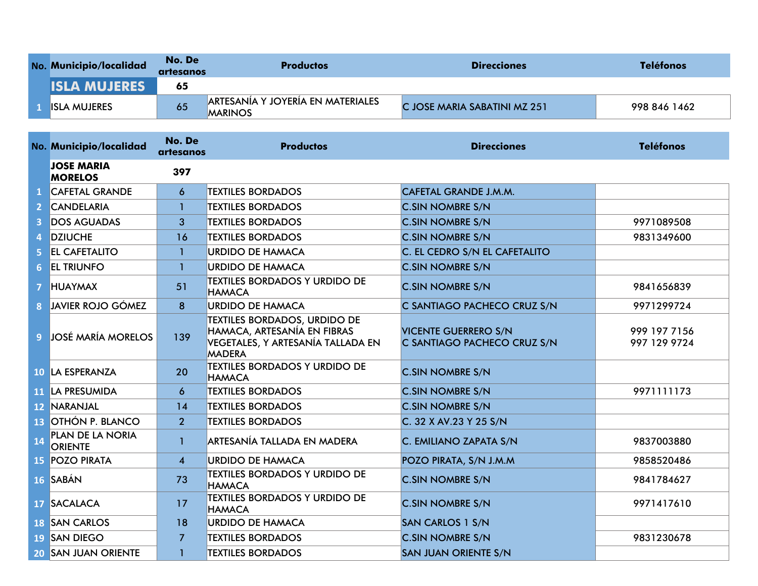| No. Municipio/localidad | No. De<br>artesanos | <b>Productos</b>                                           | <b>Direcciones</b>           | <b>Teléfonos</b> |
|-------------------------|---------------------|------------------------------------------------------------|------------------------------|------------------|
| <b>ISLA MUJERES</b>     | 65                  |                                                            |                              |                  |
| <b>ISLA MUJERES</b>     | 65                  | <b>ARTESANÍA Y JOYERIA EN MATERIALES</b><br><b>MARINOS</b> | C JOSE MARIA SABATINI MZ 251 | 998 846 1462     |

|                | No. Municipio/localidad             | No. De<br>artesanos     | <b>Productos</b>                                                                                                         | <b>Direcciones</b>                                         | <b>Teléfonos</b>             |
|----------------|-------------------------------------|-------------------------|--------------------------------------------------------------------------------------------------------------------------|------------------------------------------------------------|------------------------------|
|                | <b>JOSE MARIA</b><br><b>MORELOS</b> | 397                     |                                                                                                                          |                                                            |                              |
|                | <b>CAFETAL GRANDE</b>               | 6                       | <b>TEXTILES BORDADOS</b>                                                                                                 | CAFETAL GRANDE J.M.M.                                      |                              |
|                | <b>CANDELARIA</b>                   | 1                       | <b>TEXTILES BORDADOS</b>                                                                                                 | <b>C.SIN NOMBRE S/N</b>                                    |                              |
| 3              | <b>DOS AGUADAS</b>                  | 3                       | <b>TEXTILES BORDADOS</b>                                                                                                 | <b>C.SIN NOMBRE S/N</b>                                    | 9971089508                   |
| 4              | <b>DZIUCHE</b>                      | 16                      | <b>TEXTILES BORDADOS</b>                                                                                                 | <b>C.SIN NOMBRE S/N</b>                                    | 9831349600                   |
| 5              | <b>EL CAFETALITO</b>                | 1                       | <b>URDIDO DE HAMACA</b>                                                                                                  | C. EL CEDRO S/N EL CAFETALITO                              |                              |
| 6              | <b>EL TRIUNFO</b>                   | $\mathbf{1}$            | <b>URDIDO DE HAMACA</b>                                                                                                  | <b>C.SIN NOMBRE S/N</b>                                    |                              |
| 7 <sup>1</sup> | <b>HUAYMAX</b>                      | 51                      | <b>TEXTILES BORDADOS Y URDIDO DE</b><br><b>HAMACA</b>                                                                    | <b>C.SIN NOMBRE S/N</b>                                    | 9841656839                   |
|                | <b>8</b> JAVIER ROJO GÓMEZ          | 8                       | <b>URDIDO DE HAMACA</b>                                                                                                  | C SANTIAGO PACHECO CRUZ S/N                                | 9971299724                   |
|                | 9 JOSÉ MARÍA MORELOS                | 139                     | <b>TEXTILES BORDADOS, URDIDO DE</b><br>HAMACA, ARTESANÍA EN FIBRAS<br>VEGETALES, Y ARTESANÍA TALLADA EN<br><b>MADERA</b> | <b>VICENTE GUERRERO S/N</b><br>C SANTIAGO PACHECO CRUZ S/N | 999 197 7156<br>997 129 9724 |
|                | 10 LA ESPERANZA                     | 20                      | <b>TEXTILES BORDADOS Y URDIDO DE</b><br><b>HAMACA</b>                                                                    | <b>C.SIN NOMBRE S/N</b>                                    |                              |
|                | 11 LA PRESUMIDA                     | 6                       | <b>TEXTILES BORDADOS</b>                                                                                                 | <b>C.SIN NOMBRE S/N</b>                                    | 9971111173                   |
|                | 12 NARANJAL                         | 14                      | <b>TEXTILES BORDADOS</b>                                                                                                 | <b>C.SIN NOMBRE S/N</b>                                    |                              |
|                | 13 OTHÓN P. BLANCO                  | 2 <sup>1</sup>          | <b>TEXTILES BORDADOS</b>                                                                                                 | C. 32 X AV.23 Y 25 S/N                                     |                              |
| 14             | PLAN DE LA NORIA<br><b>ORIENTE</b>  | $\mathbf{1}$            | ARTESANÍA TALLADA EN MADERA                                                                                              | C. EMILIANO ZAPATA S/N                                     | 9837003880                   |
|                | <b>15 POZO PIRATA</b>               | $\overline{\mathbf{4}}$ | <b>URDIDO DE HAMACA</b>                                                                                                  | POZO PIRATA, S/N J.M.M                                     | 9858520486                   |
|                | 16 SABÁN                            | 73                      | <b>TEXTILES BORDADOS Y URDIDO DE</b><br><b>HAMACA</b>                                                                    | <b>C.SIN NOMBRE S/N</b>                                    | 9841784627                   |
|                | 17 SACALACA                         | 17                      | <b>TEXTILES BORDADOS Y URDIDO DE</b><br><b>HAMACA</b>                                                                    | <b>C.SIN NOMBRE S/N</b>                                    | 9971417610                   |
|                | <b>18 SAN CARLOS</b>                | 18                      | <b>URDIDO DE HAMACA</b>                                                                                                  | <b>SAN CARLOS 1 S/N</b>                                    |                              |
|                | 19 SAN DIEGO                        | $\overline{7}$          | <b>TEXTILES BORDADOS</b>                                                                                                 | <b>C.SIN NOMBRE S/N</b>                                    | 9831230678                   |
|                | <b>20 SAN JUAN ORIENTE</b>          | $\mathbf{1}$            | <b>TEXTILES BORDADOS</b>                                                                                                 | <b>SAN JUAN ORIENTE S/N</b>                                |                              |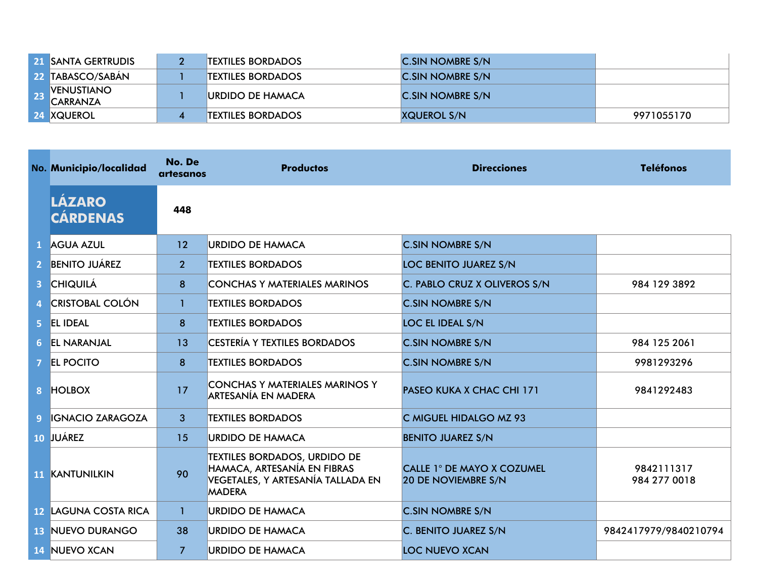|            | 21 SANTA GERTRUDIS                   | <b>TEXTILES BORDADOS</b> | <b>C.SIN NOMBRE S/N</b>  |            |
|------------|--------------------------------------|--------------------------|--------------------------|------------|
|            | <b>22 TABASCO/SABAN</b>              | <b>TEXTILES BORDADOS</b> | <b>IC.SIN NOMBRE S/N</b> |            |
| <b>SPA</b> | <b>VENUSTIANO</b><br><b>CARRANZA</b> | <b>IURDIDO DE HAMACA</b> | <b>IC.SIN NOMBRE S/N</b> |            |
|            | <b>24 XQUEROL</b>                    | <b>TEXTILES BORDADOS</b> | <b>XQUEROL S/N</b>       | 9971055170 |

|                | No. Municipio/localidad          | No. De<br>artesanos | <b>Productos</b>                                                                                                         | <b>Direcciones</b>                                       | <b>Teléfonos</b>           |
|----------------|----------------------------------|---------------------|--------------------------------------------------------------------------------------------------------------------------|----------------------------------------------------------|----------------------------|
|                | <b>LÁZARO</b><br><b>CÁRDENAS</b> | 448                 |                                                                                                                          |                                                          |                            |
|                | 1 AGUA AZUL                      | 12                  | <b>URDIDO DE HAMACA</b>                                                                                                  | <b>C.SIN NOMBRE S/N</b>                                  |                            |
| $\overline{2}$ | <b>BENITO JUÁREZ</b>             | 2 <sup>1</sup>      | <b>TEXTILES BORDADOS</b>                                                                                                 | <b>LOC BENITO JUAREZ S/N</b>                             |                            |
| $\overline{3}$ | <b>CHIQUILÁ</b>                  | 8                   | <b>CONCHAS Y MATERIALES MARINOS</b>                                                                                      | C. PABLO CRUZ X OLIVEROS S/N                             | 984 129 3892               |
| 4              | <b>CRISTOBAL COLÓN</b>           | $\mathbf{1}$        | <b>TEXTILES BORDADOS</b>                                                                                                 | <b>C.SIN NOMBRE S/N</b>                                  |                            |
| 5.             | <b>EL IDEAL</b>                  | 8                   | <b>TEXTILES BORDADOS</b>                                                                                                 | <b>LOC EL IDEAL S/N</b>                                  |                            |
|                | 6 <b>EL NARANJAL</b>             | 13                  | <b>CESTERÍA Y TEXTILES BORDADOS</b>                                                                                      | <b>C.SIN NOMBRE S/N</b>                                  | 984 125 2061               |
| 7.             | <b>EL POCITO</b>                 | 8                   | <b>TEXTILES BORDADOS</b>                                                                                                 | <b>C.SIN NOMBRE S/N</b>                                  | 9981293296                 |
| 8 <sup>1</sup> | <b>HOLBOX</b>                    | 17                  | CONCHAS Y MATERIALES MARINOS Y<br>ARTESANÍA EN MADERA                                                                    | <b>PASEO KUKA X CHAC CHI 171</b>                         | 9841292483                 |
| 9              | <b>IGNACIO ZARAGOZA</b>          | $\mathbf{3}$        | <b>TEXTILES BORDADOS</b>                                                                                                 | C MIGUEL HIDALGO MZ 93                                   |                            |
|                | 10 JUÁREZ                        | 15                  | <b>URDIDO DE HAMACA</b>                                                                                                  | <b>BENITO JUAREZ S/N</b>                                 |                            |
|                | <b>11 KANTUNILKIN</b>            | 90                  | <b>TEXTILES BORDADOS, URDIDO DE</b><br>HAMACA, ARTESANÍA EN FIBRAS<br>VEGETALES, Y ARTESANÍA TALLADA EN<br><b>MADERA</b> | CALLE 1° DE MAYO X COZUMEL<br><b>20 DE NOVIEMBRE S/N</b> | 9842111317<br>984 277 0018 |
|                | <b>12 LAGUNA COSTA RICA</b>      | $\mathbf{1}$        | <b>URDIDO DE HAMACA</b>                                                                                                  | <b>C.SIN NOMBRE S/N</b>                                  |                            |
|                | <b>13 NUEVO DURANGO</b>          | 38                  | <b>URDIDO DE HAMACA</b>                                                                                                  | C. BENITO JUAREZ S/N                                     | 9842417979/9840210794      |
|                | <b>14 NUEVO XCAN</b>             | $\overline{7}$      | <b>URDIDO DE HAMACA</b>                                                                                                  | <b>LOC NUEVO XCAN</b>                                    |                            |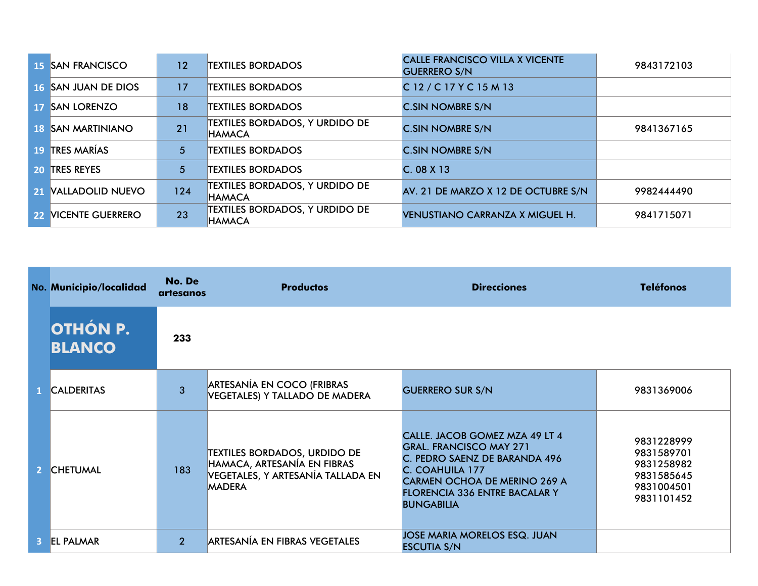| <b>15 SAN FRANCISCO</b>    | 12  | <b>TEXTILES BORDADOS</b>                               | <b>CALLE FRANCISCO VILLA X VICENTE</b><br><b>GUERRERO S/N</b> | 9843172103 |
|----------------------------|-----|--------------------------------------------------------|---------------------------------------------------------------|------------|
| <b>16 SAN JUAN DE DIOS</b> | 17  | <b>TEXTILES BORDADOS</b>                               | C 12 / C 17 Y C 15 M 13                                       |            |
| 17 SAN LORENZO             | 18  | <b>TEXTILES BORDADOS</b>                               | <b>C.SIN NOMBRE S/N</b>                                       |            |
| <b>18 ISAN MARTINIANO</b>  | 21  | <b>TEXTILES BORDADOS, Y URDIDO DE</b><br><b>HAMACA</b> | <b>C.SIN NOMBRE S/N</b>                                       | 9841367165 |
| 19 TRES MARÍAS             | 5   | <b>TEXTILES BORDADOS</b>                               | <b>C.SIN NOMBRE S/N</b>                                       |            |
| <b>20 TRES REYES</b>       | 5   | <b>TEXTILES BORDADOS</b>                               | C.08X13                                                       |            |
| 21 VALLADOLID NUEVO        | 124 | <b>TEXTILES BORDADOS, Y URDIDO DE</b><br><b>HAMACA</b> | AV. 21 DE MARZO X 12 DE OCTUBRE S/N                           | 9982444490 |
| 22 NICENTE GUERRERO        | 23  | <b>TEXTILES BORDADOS, Y URDIDO DE</b><br><b>HAMACA</b> | <b>VENUSTIANO CARRANZA X MIGUEL H.</b>                        | 9841715071 |

| No. Municipio/localidad          | No. De<br>artesanos | <b>Productos</b>                                                                                                         | <b>Direcciones</b>                                                                                                                                                                                                | <b>Teléfonos</b>                                                                 |
|----------------------------------|---------------------|--------------------------------------------------------------------------------------------------------------------------|-------------------------------------------------------------------------------------------------------------------------------------------------------------------------------------------------------------------|----------------------------------------------------------------------------------|
| <b>OTHÓN P.</b><br><b>BLANCO</b> | 233                 |                                                                                                                          |                                                                                                                                                                                                                   |                                                                                  |
| <b>CALDERITAS</b>                | 3                   | <b>ARTESANÍA EN COCO (FRIBRAS</b><br>VEGETALES) Y TALLADO DE MADERA                                                      | <b>GUERRERO SUR S/N</b>                                                                                                                                                                                           | 9831369006                                                                       |
| <b>CHETUMAL</b>                  | 183                 | <b>TEXTILES BORDADOS, URDIDO DE</b><br>HAMACA, ARTESANÍA EN FIBRAS<br>VEGETALES, Y ARTESANÍA TALLADA EN<br><b>MADERA</b> | CALLE. JACOB GOMEZ MZA 49 LT 4<br><b>GRAL. FRANCISCO MAY 271</b><br>C. PEDRO SAENZ DE BARANDA 496<br>C. COAHUILA 177<br>CARMEN OCHOA DE MERINO 269 A<br><b>FLORENCIA 336 ENTRE BACALAR Y</b><br><b>BUNGABILIA</b> | 9831228999<br>9831589701<br>9831258982<br>9831585645<br>9831004501<br>9831101452 |
| <b>EL PALMAR</b>                 | $\overline{2}$      | ARTESANÍA EN FIBRAS VEGETALES                                                                                            | JOSE MARIA MORELOS ESQ. JUAN<br><b>ESCUTIA S/N</b>                                                                                                                                                                |                                                                                  |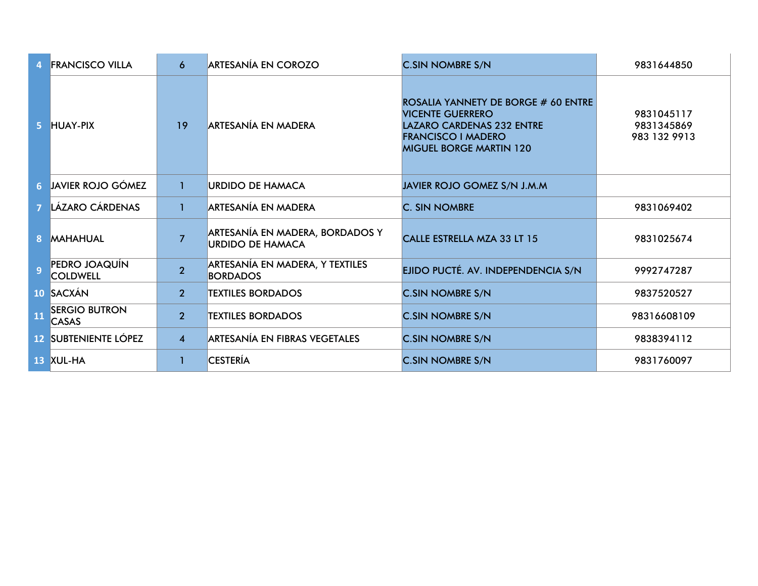|    | <b>FRANCISCO VILLA</b>               | 6              | <b>ARTESANÍA EN COROZO</b>                                 | <b>C.SIN NOMBRE S/N</b>                                                                                                                                           | 9831644850                               |
|----|--------------------------------------|----------------|------------------------------------------------------------|-------------------------------------------------------------------------------------------------------------------------------------------------------------------|------------------------------------------|
|    | 5 HUAY-PIX                           | 19             | <b>ARTESANÍA EN MADERA</b>                                 | ROSALIA YANNETY DE BORGE # 60 ENTRE<br><b>VICENTE GUERRERO</b><br><b>LAZARO CARDENAS 232 ENTRE</b><br><b>FRANCISCO I MADERO</b><br><b>MIGUEL BORGE MARTIN 120</b> | 9831045117<br>9831345869<br>983 132 9913 |
|    | <b>6 JAVIER ROJO GÓMEZ</b>           | $\mathbf{1}$   | <b>URDIDO DE HAMACA</b>                                    | JAVIER ROJO GOMEZ S/N J.M.M                                                                                                                                       |                                          |
|    | LÁZARO CÁRDENAS                      | 1              | ARTESANÍA EN MADERA                                        | <b>C. SIN NOMBRE</b>                                                                                                                                              | 9831069402                               |
|    | <b>8 MAHAHUAL</b>                    | $\overline{7}$ | ARTESANÍA EN MADERA, BORDADOS Y<br><b>URDIDO DE HAMACA</b> | CALLE ESTRELLA MZA 33 LT 15                                                                                                                                       | 9831025674                               |
|    | PEDRO JOAQUÍN<br><b>COLDWELL</b>     | $\overline{2}$ | ARTESANÍA EN MADERA, Y TEXTILES<br><b>BORDADOS</b>         | EJIDO PUCTÉ. AV. INDEPENDENCIA S/N                                                                                                                                | 9992747287                               |
|    | 10 SACXÁN                            | 2 <sup>1</sup> | <b>TEXTILES BORDADOS</b>                                   | <b>C.SIN NOMBRE S/N</b>                                                                                                                                           | 9837520527                               |
| 11 | <b>SERGIO BUTRON</b><br><b>CASAS</b> | $\overline{2}$ | <b>TEXTILES BORDADOS</b>                                   | <b>C.SIN NOMBRE S/N</b>                                                                                                                                           | 98316608109                              |
|    | <b>12 SUBTENIENTE LÓPEZ</b>          | $\overline{4}$ | ARTESANÍA EN FIBRAS VEGETALES                              | <b>C.SIN NOMBRE S/N</b>                                                                                                                                           | 9838394112                               |
|    | 13 XUL-HA                            | 1              | <b>CESTERÍA</b>                                            | <b>C.SIN NOMBRE S/N</b>                                                                                                                                           | 9831760097                               |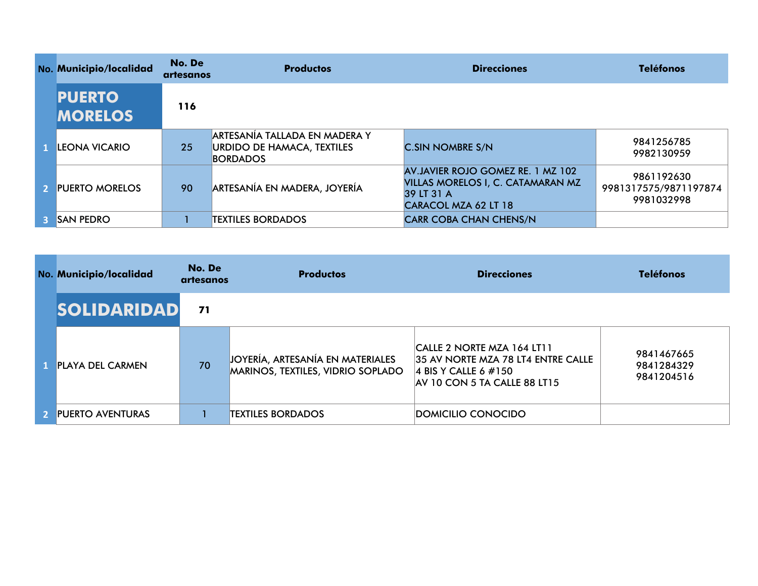|    | No. Municipio/localidad         | No. De<br>artesanos | <b>Productos</b>                                                                 | <b>Direcciones</b>                                                                                           | <b>Teléfonos</b>                                  |
|----|---------------------------------|---------------------|----------------------------------------------------------------------------------|--------------------------------------------------------------------------------------------------------------|---------------------------------------------------|
|    | <b>PUERTO</b><br><b>MORELOS</b> | 116                 |                                                                                  |                                                                                                              |                                                   |
|    | <b>LEONA VICARIO</b>            | 25                  | ARTESANIA TALLADA EN MADERA Y<br> URDIDO DE HAMACA, TEXTILES <br><b>BORDADOS</b> | <b>C.SIN NOMBRE S/N</b>                                                                                      | 9841256785<br>9982130959                          |
|    | 2 PUERTO MORELOS                | 90                  | ARTESANÍA EN MADERA, JOYERÍA                                                     | AV.JAVIER ROJO GOMEZ RE. 1 MZ 102<br>VILLAS MORELOS I, C. CATAMARAN MZ<br>39 LT 31 A<br>CARACOL MZA 62 LT 18 | 9861192630<br>9981317575/9871197874<br>9981032998 |
| 3. | <b>SAN PEDRO</b>                |                     | <b>TEXTILES BORDADOS</b>                                                         | <b>CARR COBA CHAN CHENS/N</b>                                                                                |                                                   |

| No. Municipio/localidad | No. De<br>artesanos | <b>Productos</b>                                                      | <b>Direcciones</b>                                                                                                           | <b>Teléfonos</b>                       |
|-------------------------|---------------------|-----------------------------------------------------------------------|------------------------------------------------------------------------------------------------------------------------------|----------------------------------------|
| <b>SOLIDARIDAD</b>      | 71                  |                                                                       |                                                                                                                              |                                        |
| <b>PLAYA DEL CARMEN</b> | 70                  | JOYERÍA, ARTESANÍA EN MATERIALES<br>MARINOS, TEXTILES, VIDRIO SOPLADO | CALLE 2 NORTE MZA 164 LT11<br>135 AV NORTE MZA 78 LT4 ENTRE CALLE<br>4 BIS Y CALLE 6 $\#150$<br>AV 10 CON 5 TA CALLE 88 LT15 | 9841467665<br>9841284329<br>9841204516 |
| 2 PUERTO AVENTURAS      |                     | <b>TEXTILES BORDADOS</b>                                              | DOMICILIO CONOCIDO                                                                                                           |                                        |